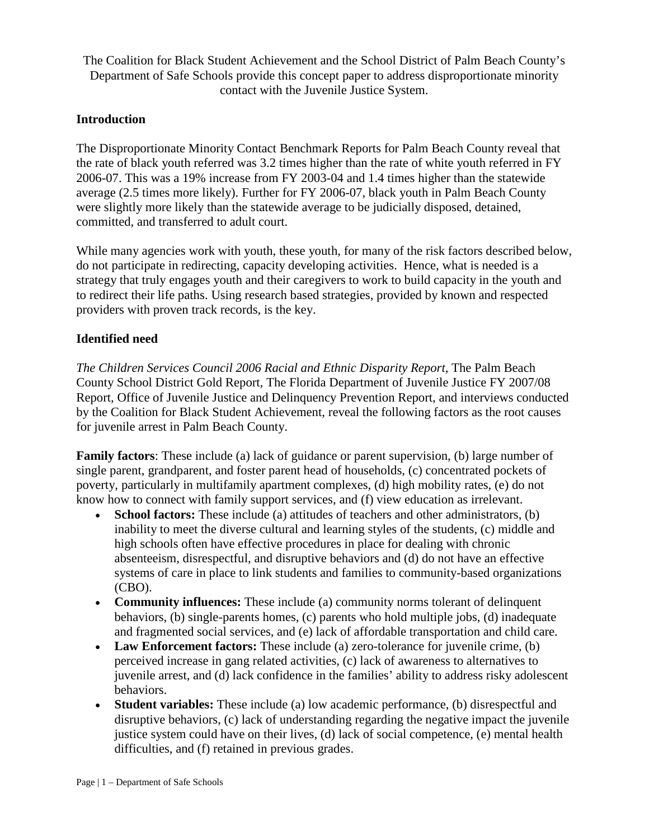The Coalition for Black Student Achievement and the School District of Palm Beach County's Department of Safe Schools provide this concept paper to address disproportionate minority contact with the Juvenile Justice System.

## **Introduction**

The Disproportionate Minority Contact Benchmark Reports for Palm Beach County reveal that the rate of black youth referred was 3.2 times higher than the rate of white youth referred in FY 2006-07. This was a 19% increase from FY 2003-04 and 1.4 times higher than the statewide average (2.5 times more likely). Further for FY 2006-07, black youth in Palm Beach County were slightly more likely than the statewide average to be judicially disposed, detained, committed, and transferred to adult court.

While many agencies work with youth, these youth, for many of the risk factors described below, do not participate in redirecting, capacity developing activities. Hence, what is needed is a strategy that truly engages youth and their caregivers to work to build capacity in the youth and to redirect their life paths. Using research based strategies, provided by known and respected providers with proven track records, is the key.

## **Identified need**

*The Children Services Council 2006 Racial and Ethnic Disparity Report*, The Palm Beach County School District Gold Report, The Florida Department of Juvenile Justice FY 2007/08 Report, Office of Juvenile Justice and Delinquency Prevention Report, and interviews conducted by the Coalition for Black Student Achievement, reveal the following factors as the root causes for juvenile arrest in Palm Beach County.

**Family factors**: These include (a) lack of guidance or parent supervision, (b) large number of single parent, grandparent, and foster parent head of households, (c) concentrated pockets of poverty, particularly in multifamily apartment complexes, (d) high mobility rates, (e) do not know how to connect with family support services, and (f) view education as irrelevant.

- **School factors:** These include (a) attitudes of teachers and other administrators, (b) inability to meet the diverse cultural and learning styles of the students, (c) middle and high schools often have effective procedures in place for dealing with chronic absenteeism, disrespectful, and disruptive behaviors and (d) do not have an effective systems of care in place to link students and families to community-based organizations (CBO).
- **Community influences:** These include (a) community norms tolerant of delinquent behaviors, (b) single-parents homes, (c) parents who hold multiple jobs, (d) inadequate and fragmented social services, and (e) lack of affordable transportation and child care.
- **Law Enforcement factors:** These include (a) zero-tolerance for juvenile crime, (b) perceived increase in gang related activities, (c) lack of awareness to alternatives to juvenile arrest, and (d) lack confidence in the families' ability to address risky adolescent behaviors.
- **Student variables:** These include (a) low academic performance, (b) disrespectful and disruptive behaviors, (c) lack of understanding regarding the negative impact the juvenile justice system could have on their lives, (d) lack of social competence, (e) mental health difficulties, and (f) retained in previous grades.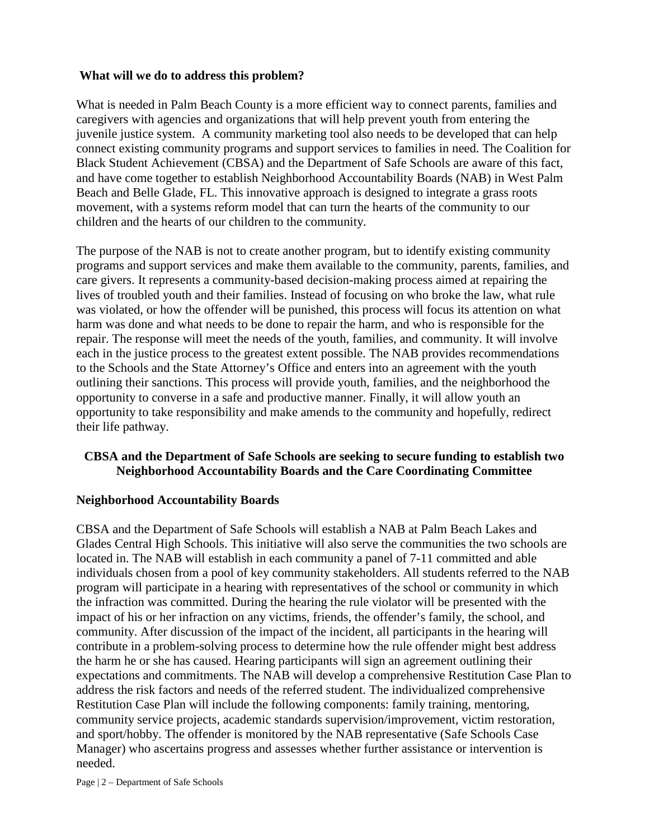#### **What will we do to address this problem?**

What is needed in Palm Beach County is a more efficient way to connect parents, families and caregivers with agencies and organizations that will help prevent youth from entering the juvenile justice system. A community marketing tool also needs to be developed that can help connect existing community programs and support services to families in need. The Coalition for Black Student Achievement (CBSA) and the Department of Safe Schools are aware of this fact, and have come together to establish Neighborhood Accountability Boards (NAB) in West Palm Beach and Belle Glade, FL. This innovative approach is designed to integrate a grass roots movement, with a systems reform model that can turn the hearts of the community to our children and the hearts of our children to the community.

The purpose of the NAB is not to create another program, but to identify existing community programs and support services and make them available to the community, parents, families, and care givers. It represents a community-based decision-making process aimed at repairing the lives of troubled youth and their families. Instead of focusing on who broke the law, what rule was violated, or how the offender will be punished, this process will focus its attention on what harm was done and what needs to be done to repair the harm, and who is responsible for the repair. The response will meet the needs of the youth, families, and community. It will involve each in the justice process to the greatest extent possible. The NAB provides recommendations to the Schools and the State Attorney's Office and enters into an agreement with the youth outlining their sanctions. This process will provide youth, families, and the neighborhood the opportunity to converse in a safe and productive manner. Finally, it will allow youth an opportunity to take responsibility and make amends to the community and hopefully, redirect their life pathway.

## **CBSA and the Department of Safe Schools are seeking to secure funding to establish two Neighborhood Accountability Boards and the Care Coordinating Committee**

#### **Neighborhood Accountability Boards**

CBSA and the Department of Safe Schools will establish a NAB at Palm Beach Lakes and Glades Central High Schools. This initiative will also serve the communities the two schools are located in. The NAB will establish in each community a panel of 7-11 committed and able individuals chosen from a pool of key community stakeholders. All students referred to the NAB program will participate in a hearing with representatives of the school or community in which the infraction was committed. During the hearing the rule violator will be presented with the impact of his or her infraction on any victims, friends, the offender's family, the school, and community. After discussion of the impact of the incident, all participants in the hearing will contribute in a problem-solving process to determine how the rule offender might best address the harm he or she has caused. Hearing participants will sign an agreement outlining their expectations and commitments. The NAB will develop a comprehensive Restitution Case Plan to address the risk factors and needs of the referred student. The individualized comprehensive Restitution Case Plan will include the following components: family training, mentoring, community service projects, academic standards supervision/improvement, victim restoration, and sport/hobby. The offender is monitored by the NAB representative (Safe Schools Case Manager) who ascertains progress and assesses whether further assistance or intervention is needed.

Page | 2 – Department of Safe Schools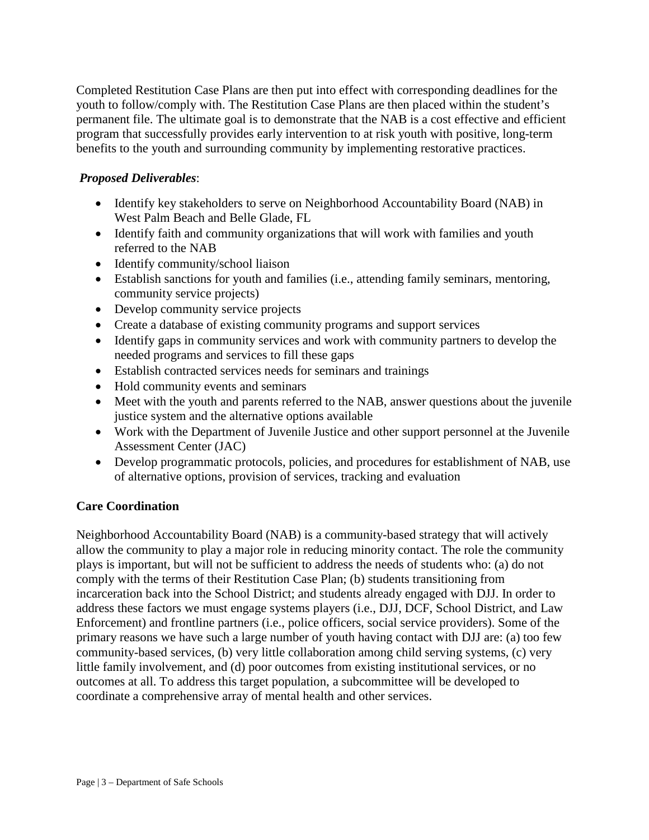Completed Restitution Case Plans are then put into effect with corresponding deadlines for the youth to follow/comply with. The Restitution Case Plans are then placed within the student's permanent file. The ultimate goal is to demonstrate that the NAB is a cost effective and efficient program that successfully provides early intervention to at risk youth with positive, long-term benefits to the youth and surrounding community by implementing restorative practices.

## *Proposed Deliverables*:

- Identify key stakeholders to serve on Neighborhood Accountability Board (NAB) in West Palm Beach and Belle Glade, FL
- Identify faith and community organizations that will work with families and youth referred to the NAB
- Identify community/school liaison
- Establish sanctions for youth and families (i.e., attending family seminars, mentoring, community service projects)
- Develop community service projects
- Create a database of existing community programs and support services
- Identify gaps in community services and work with community partners to develop the needed programs and services to fill these gaps
- Establish contracted services needs for seminars and trainings
- Hold community events and seminars
- Meet with the youth and parents referred to the NAB, answer questions about the juvenile justice system and the alternative options available
- Work with the Department of Juvenile Justice and other support personnel at the Juvenile Assessment Center (JAC)
- Develop programmatic protocols, policies, and procedures for establishment of NAB, use of alternative options, provision of services, tracking and evaluation

## **Care Coordination**

Neighborhood Accountability Board (NAB) is a community-based strategy that will actively allow the community to play a major role in reducing minority contact. The role the community plays is important, but will not be sufficient to address the needs of students who: (a) do not comply with the terms of their Restitution Case Plan; (b) students transitioning from incarceration back into the School District; and students already engaged with DJJ. In order to address these factors we must engage systems players (i.e., DJJ, DCF, School District, and Law Enforcement) and frontline partners (i.e., police officers, social service providers). Some of the primary reasons we have such a large number of youth having contact with DJJ are: (a) too few community-based services, (b) very little collaboration among child serving systems, (c) very little family involvement, and (d) poor outcomes from existing institutional services, or no outcomes at all. To address this target population, a subcommittee will be developed to coordinate a comprehensive array of mental health and other services.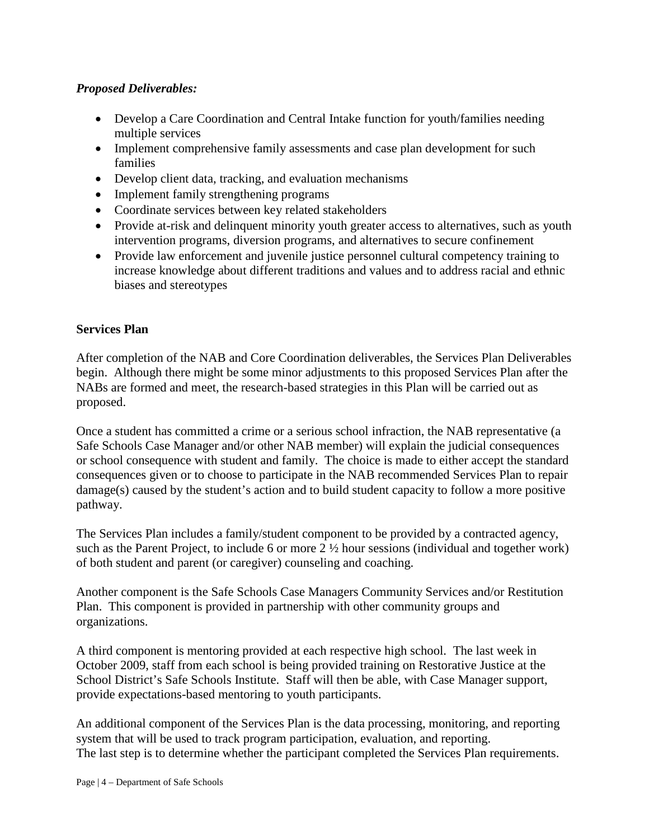## *Proposed Deliverables:*

- Develop a Care Coordination and Central Intake function for youth/families needing multiple services
- Implement comprehensive family assessments and case plan development for such families
- Develop client data, tracking, and evaluation mechanisms
- Implement family strengthening programs
- Coordinate services between key related stakeholders
- Provide at-risk and delinquent minority youth greater access to alternatives, such as youth intervention programs, diversion programs, and alternatives to secure confinement
- Provide law enforcement and juvenile justice personnel cultural competency training to increase knowledge about different traditions and values and to address racial and ethnic biases and stereotypes

#### **Services Plan**

After completion of the NAB and Core Coordination deliverables, the Services Plan Deliverables begin. Although there might be some minor adjustments to this proposed Services Plan after the NABs are formed and meet, the research-based strategies in this Plan will be carried out as proposed.

Once a student has committed a crime or a serious school infraction, the NAB representative (a Safe Schools Case Manager and/or other NAB member) will explain the judicial consequences or school consequence with student and family. The choice is made to either accept the standard consequences given or to choose to participate in the NAB recommended Services Plan to repair damage(s) caused by the student's action and to build student capacity to follow a more positive pathway.

The Services Plan includes a family/student component to be provided by a contracted agency, such as the Parent Project, to include 6 or more 2 ½ hour sessions (individual and together work) of both student and parent (or caregiver) counseling and coaching.

Another component is the Safe Schools Case Managers Community Services and/or Restitution Plan. This component is provided in partnership with other community groups and organizations.

A third component is mentoring provided at each respective high school. The last week in October 2009, staff from each school is being provided training on Restorative Justice at the School District's Safe Schools Institute. Staff will then be able, with Case Manager support, provide expectations-based mentoring to youth participants.

An additional component of the Services Plan is the data processing, monitoring, and reporting system that will be used to track program participation, evaluation, and reporting. The last step is to determine whether the participant completed the Services Plan requirements.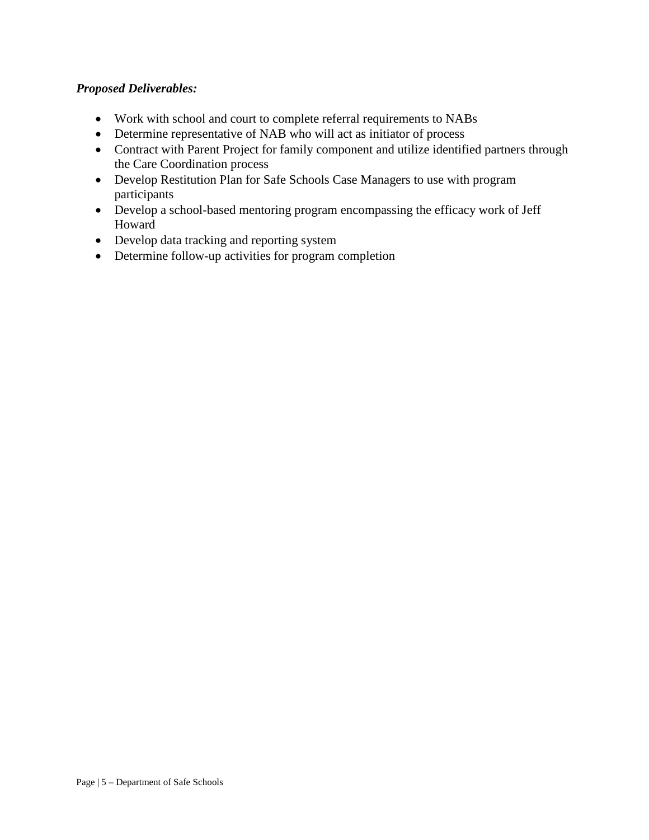## *Proposed Deliverables:*

- Work with school and court to complete referral requirements to NABs
- Determine representative of NAB who will act as initiator of process
- Contract with Parent Project for family component and utilize identified partners through the Care Coordination process
- Develop Restitution Plan for Safe Schools Case Managers to use with program participants
- Develop a school-based mentoring program encompassing the efficacy work of Jeff Howard
- Develop data tracking and reporting system
- Determine follow-up activities for program completion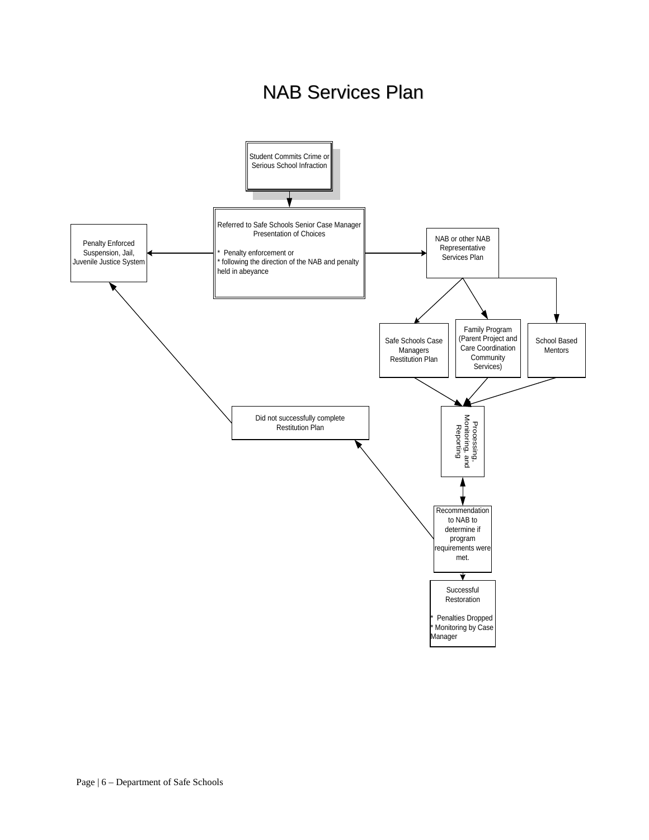# NAB Services Plan

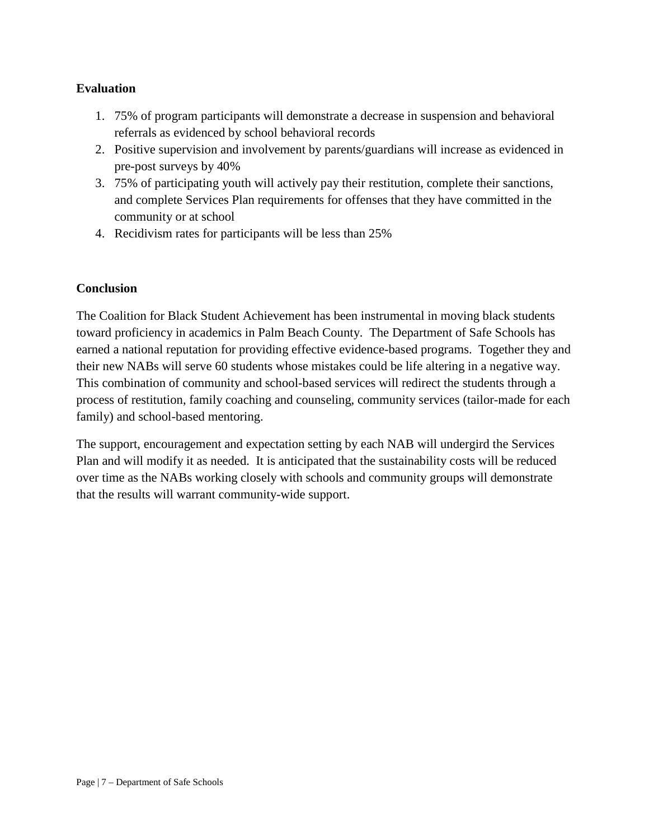## **Evaluation**

- 1. 75% of program participants will demonstrate a decrease in suspension and behavioral referrals as evidenced by school behavioral records
- 2. Positive supervision and involvement by parents/guardians will increase as evidenced in pre-post surveys by 40%
- 3. 75% of participating youth will actively pay their restitution, complete their sanctions, and complete Services Plan requirements for offenses that they have committed in the community or at school
- 4. Recidivism rates for participants will be less than 25%

## **Conclusion**

The Coalition for Black Student Achievement has been instrumental in moving black students toward proficiency in academics in Palm Beach County. The Department of Safe Schools has earned a national reputation for providing effective evidence-based programs. Together they and their new NABs will serve 60 students whose mistakes could be life altering in a negative way. This combination of community and school-based services will redirect the students through a process of restitution, family coaching and counseling, community services (tailor-made for each family) and school-based mentoring.

The support, encouragement and expectation setting by each NAB will undergird the Services Plan and will modify it as needed. It is anticipated that the sustainability costs will be reduced over time as the NABs working closely with schools and community groups will demonstrate that the results will warrant community-wide support.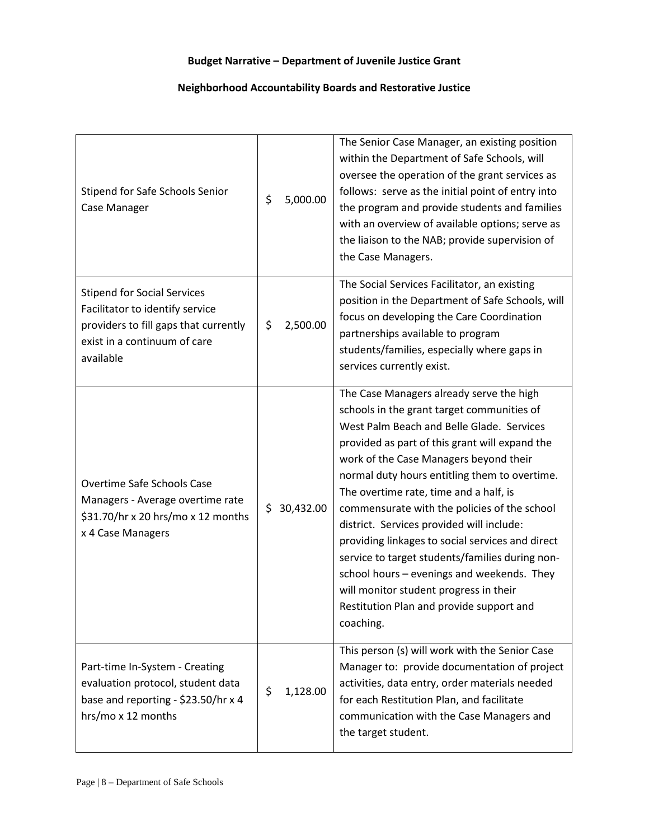## **Budget Narrative – Department of Juvenile Justice Grant**

#### **Neighborhood Accountability Boards and Restorative Justice**

| Stipend for Safe Schools Senior<br>Case Manager                                                                                                             | \$<br>5,000.00  | The Senior Case Manager, an existing position<br>within the Department of Safe Schools, will<br>oversee the operation of the grant services as<br>follows: serve as the initial point of entry into<br>the program and provide students and families<br>with an overview of available options; serve as<br>the liaison to the NAB; provide supervision of<br>the Case Managers.                                                                                                                                                                                                                                                                                                 |  |  |  |
|-------------------------------------------------------------------------------------------------------------------------------------------------------------|-----------------|---------------------------------------------------------------------------------------------------------------------------------------------------------------------------------------------------------------------------------------------------------------------------------------------------------------------------------------------------------------------------------------------------------------------------------------------------------------------------------------------------------------------------------------------------------------------------------------------------------------------------------------------------------------------------------|--|--|--|
| <b>Stipend for Social Services</b><br>Facilitator to identify service<br>providers to fill gaps that currently<br>exist in a continuum of care<br>available | \$<br>2,500.00  | The Social Services Facilitator, an existing<br>position in the Department of Safe Schools, will<br>focus on developing the Care Coordination<br>partnerships available to program<br>students/families, especially where gaps in<br>services currently exist.                                                                                                                                                                                                                                                                                                                                                                                                                  |  |  |  |
| Overtime Safe Schools Case<br>Managers - Average overtime rate<br>\$31.70/hr x 20 hrs/mo x 12 months<br>x 4 Case Managers                                   | \$<br>30,432.00 | The Case Managers already serve the high<br>schools in the grant target communities of<br>West Palm Beach and Belle Glade. Services<br>provided as part of this grant will expand the<br>work of the Case Managers beyond their<br>normal duty hours entitling them to overtime.<br>The overtime rate, time and a half, is<br>commensurate with the policies of the school<br>district. Services provided will include:<br>providing linkages to social services and direct<br>service to target students/families during non-<br>school hours - evenings and weekends. They<br>will monitor student progress in their<br>Restitution Plan and provide support and<br>coaching. |  |  |  |
| Part-time In-System - Creating<br>evaluation protocol, student data<br>base and reporting - \$23.50/hr x 4<br>hrs/mo x 12 months                            | \$<br>1,128.00  | This person (s) will work with the Senior Case<br>Manager to: provide documentation of project<br>activities, data entry, order materials needed<br>for each Restitution Plan, and facilitate<br>communication with the Case Managers and<br>the target student.                                                                                                                                                                                                                                                                                                                                                                                                                |  |  |  |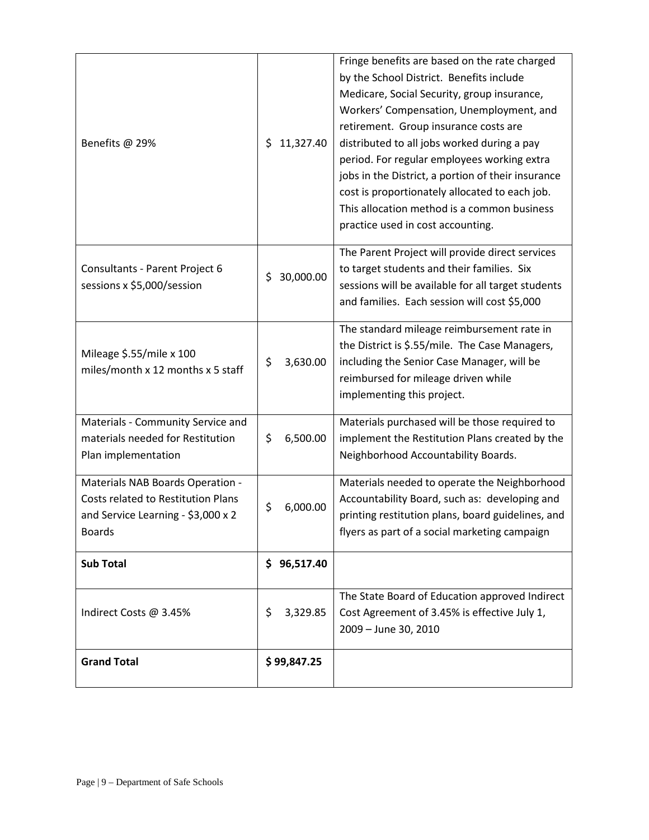| Benefits @ 29%                                                                                                                | 11,327.40<br>\$ | Fringe benefits are based on the rate charged<br>by the School District. Benefits include<br>Medicare, Social Security, group insurance,<br>Workers' Compensation, Unemployment, and<br>retirement. Group insurance costs are<br>distributed to all jobs worked during a pay<br>period. For regular employees working extra<br>jobs in the District, a portion of their insurance<br>cost is proportionately allocated to each job.<br>This allocation method is a common business<br>practice used in cost accounting. |
|-------------------------------------------------------------------------------------------------------------------------------|-----------------|-------------------------------------------------------------------------------------------------------------------------------------------------------------------------------------------------------------------------------------------------------------------------------------------------------------------------------------------------------------------------------------------------------------------------------------------------------------------------------------------------------------------------|
| Consultants - Parent Project 6<br>sessions x \$5,000/session                                                                  | 30,000.00<br>\$ | The Parent Project will provide direct services<br>to target students and their families. Six<br>sessions will be available for all target students<br>and families. Each session will cost \$5,000                                                                                                                                                                                                                                                                                                                     |
| Mileage \$.55/mile x 100<br>miles/month x 12 months x 5 staff                                                                 | \$<br>3,630.00  | The standard mileage reimbursement rate in<br>the District is \$.55/mile. The Case Managers,<br>including the Senior Case Manager, will be<br>reimbursed for mileage driven while<br>implementing this project.                                                                                                                                                                                                                                                                                                         |
| Materials - Community Service and<br>materials needed for Restitution<br>Plan implementation                                  | \$<br>6,500.00  | Materials purchased will be those required to<br>implement the Restitution Plans created by the<br>Neighborhood Accountability Boards.                                                                                                                                                                                                                                                                                                                                                                                  |
| Materials NAB Boards Operation -<br>Costs related to Restitution Plans<br>and Service Learning - \$3,000 x 2<br><b>Boards</b> | \$<br>6,000.00  | Materials needed to operate the Neighborhood<br>Accountability Board, such as: developing and<br>printing restitution plans, board guidelines, and<br>flyers as part of a social marketing campaign                                                                                                                                                                                                                                                                                                                     |
| <b>Sub Total</b>                                                                                                              | \$96,517.40     |                                                                                                                                                                                                                                                                                                                                                                                                                                                                                                                         |
| Indirect Costs @ 3.45%                                                                                                        | \$<br>3,329.85  | The State Board of Education approved Indirect<br>Cost Agreement of 3.45% is effective July 1,<br>2009 - June 30, 2010                                                                                                                                                                                                                                                                                                                                                                                                  |
| <b>Grand Total</b>                                                                                                            | \$99,847.25     |                                                                                                                                                                                                                                                                                                                                                                                                                                                                                                                         |